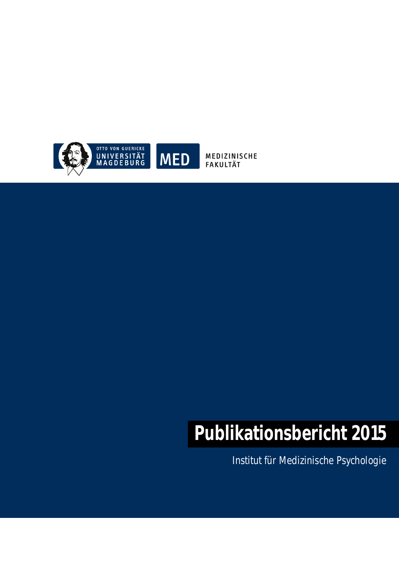

MEDIZINISCHE **FAKULTÄT** 

# **Publikationsbericht 2015**

Institut für Medizinische Psychologie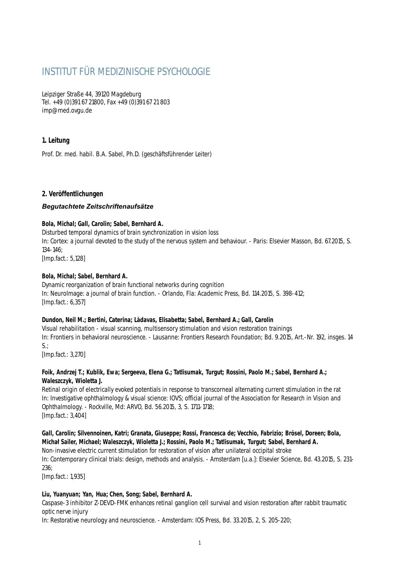# INSTITUT FÜR MEDIZINISCHE PSYCHOLOGIE

Leipziger Straße 44, 39120 Magdeburg Tel. +49 (0)391 67 21800, Fax +49 (0)391 67 21 803 imp@med.ovgu.de

# **1. Leitung**

Prof. Dr. med. habil. B.A. Sabel, Ph.D. (geschäftsführender Leiter)

# **2. Veröffentlichungen**

# *Begutachtete Zeitschriftenaufsätze*

#### **Bola, Michal; Gall, Carolin; Sabel, Bernhard A.**

Disturbed temporal dynamics of brain synchronization in vision loss In: Cortex: a journal devoted to the study of the nervous system and behaviour. - Paris: Elsevier Masson, Bd. 67.2015, S. 134-146; [Imp.fact.: 5,128]

# **Bola, Michal; Sabel, Bernhard A.**

Dynamic reorganization of brain functional networks during cognition In: NeuroImage: a journal of brain function. - Orlando, Fla: Academic Press, Bd. 114.2015, S. 398-412; [Imp.fact.: 6,357]

#### **Dundon, Neil M.; Bertini, Caterina; Làdavas, Elisabetta; Sabel, Bernhard A.; Gall, Carolin**

Visual rehabilitation - visual scanning, multisensory stimulation and vision restoration trainings In: Frontiers in behavioral neuroscience. - Lausanne: Frontiers Research Foundation; Bd. 9.2015, Art.-Nr. 192, insges. 14 S.;

[Imp.fact.: 3,270]

#### **Foik, Andrzej T.; Kublik, Ewa; Sergeeva, Elena G.; Tatlisumak, Turgut; Rossini, Paolo M.; Sabel, Bernhard A.; Waleszczyk, Wioletta J.**

Retinal origin of electrically evoked potentials in response to transcorneal alternating current stimulation in the rat In: Investigative ophthalmology & visual science: IOVS; official journal of the Association for Research in Vision and Ophthalmology. - Rockville, Md: ARVO, Bd. 56.2015, 3, S. 1711-1718; [Imp.fact.: 3,404]

# **Gall, Carolin; Silvennoinen, Katri; Granata, Giuseppe; Rossi, Francesca de; Vecchio, Fabrizio; Brösel, Doreen; Bola, Michał Sailer, Michael; Waleszczyk, Wioletta J.; Rossini, Paolo M.; Tatlisumak, Turgut; Sabel, Bernhard A.**

Non-invasive electric current stimulation for restoration of vision after unilateral occipital stroke

In: Contemporary clinical trials: design, methods and analysis. - Amsterdam [u.a.]: Elsevier Science, Bd. 43.2015, S. 231- 236;

[Imp.fact.: 1,935]

#### **Liu, Yuanyuan; Yan, Hua; Chen, Song; Sabel, Bernhard A.**

Caspase-3 inhibitor Z-DEVD-FMK enhances retinal ganglion cell survival and vision restoration after rabbit traumatic optic nerve injury

In: Restorative neurology and neuroscience. - Amsterdam: IOS Press, Bd. 33.2015, 2, S. 205-220;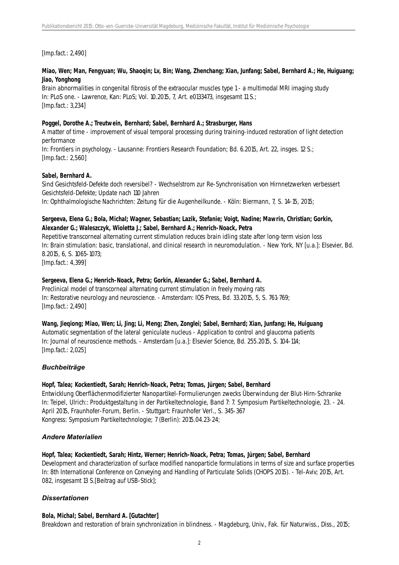[Imp.fact.: 2,490]

#### **Miao, Wen; Man, Fengyuan; Wu, Shaoqin; Lv, Bin; Wang, Zhenchang; Xian, Junfang; Sabel, Bernhard A.; He, Huiguang; Jiao, Yonghong**

Brain abnormalities in congenital fibrosis of the extraocular muscles type 1 - a multimodal MRI imaging study In: PLoS one. - Lawrence, Kan: PLoS; Vol. 10.2015, 7, Art. e0133473, insgesamt 11 S.; [Imp.fact.: 3,234]

#### **Poggel, Dorothe A.; Treutwein, Bernhard; Sabel, Bernhard A.; Strasburger, Hans**

A matter of time - improvement of visual temporal processing during training-induced restoration of light detection performance

In: Frontiers in psychology. - Lausanne: Frontiers Research Foundation; Bd. 6.2015, Art. 22, insges. 12 S.; [Imp.fact.: 2,560]

#### **Sabel, Bernhard A.**

Sind Gesichtsfeld-Defekte doch reversibel? - Wechselstrom zur Re-Synchronisation von Hirnnetzwerken verbessert Gesichtsfeld-Defekte; Update nach 110 Jahren In: Ophthalmologische Nachrichten: Zeitung für die Augenheilkunde. - Köln: Biermann, 7, S. 14-15, 2015;

#### **Sergeeva, Elena G.; Bola, Michal; Wagner, Sebastian; Lazik, Stefanie; Voigt, Nadine; Mawrin, Christian; Gorkin, Alexander G.; Waleszczyk, Wioletta J.; Sabel, Bernhard A.; Henrich-Noack, Petra**

Repetitive transcorneal alternating current stimulation reduces brain idling state after long-term vision loss In: Brain stimulation: basic, translational, and clinical research in neuromodulation. - New York, NY [u.a.]: Elsevier, Bd. 8.2015, 6, S. 1065-1073;

[Imp.fact.: 4,399]

#### **Sergeeva, Elena G.; Henrich-Noack, Petra; Gorkin, Alexander G.; Sabel, Bernhard A.**

Preclinical model of transcorneal alternating current stimulation in freely moving rats In: Restorative neurology and neuroscience. - Amsterdam: IOS Press, Bd. 33.2015, 5, S. 761-769; [Imp.fact.: 2,490]

#### **Wang, Jieqiong; Miao, Wen; Li, Jing; Li, Meng; Zhen, Zonglei; Sabel, Bernhard; Xian, Junfang; He, Huiguang**

Automatic segmentation of the lateral geniculate nucleus - Application to control and glaucoma patients In: Journal of neuroscience methods. - Amsterdam [u.a.]: Elsevier Science, Bd. 255.2015, S. 104-114; [Imp.fact.: 2,025]

#### *Buchbeiträge*

#### **Hopf, Talea; Kockentiedt, Sarah; Henrich-Noack, Petra; Tomas, Jürgen; Sabel, Bernhard**

Entwicklung Oberflächenmodifizierter Nanopartikel-Formulierungen zwecks Überwindung der Blut-Hirn-Schranke In: Teipel, Ulrich:: Produktgestaltung in der Partikeltechnologie, Band 7: 7. Symposium Partikeltechnologie, 23. - 24. April 2015, Fraunhofer-Forum, Berlin. - Stuttgart: Fraunhofer Verl., S. 345-367 Kongress: Symposium Partikeltechnologie; 7 (Berlin): 2015.04.23-24;

# *Andere Materialien*

#### **Hopf, Talea; Kockentiedt, Sarah; Hintz, Werner; Henrich-Noack, Petra; Tomas, Jürgen; Sabel, Bernhard**

Development and characterization of surface modified nanoparticle formulations in terms of size and surface properties In: 8th International Conference on Conveying and Handling of Particulate Solids (CHOPS 2015). - Tel-Aviv; 2015, Art. 082, insgesamt 13 S.[Beitrag auf USB-Stick];

#### *Dissertationen*

#### **Bola, Michal; Sabel, Bernhard A. [Gutachter]**

Breakdown and restoration of brain synchronization in blindness. - Magdeburg, Univ., Fak. für Naturwiss., Diss., 2015;